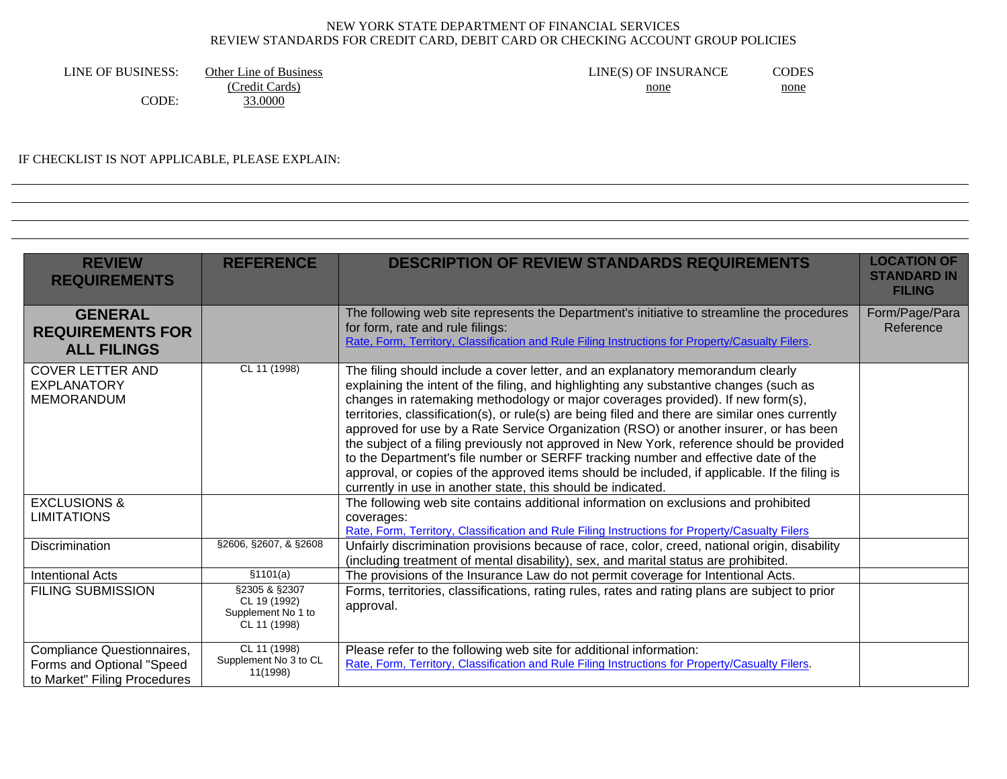LINE OF BUSINESS: Other Line of Business CODES LINE(S) OF INSURANCE CODES (Credit Cards) none none

CODE: 33.0000

# IF CHECKLIST IS NOT APPLICABLE, PLEASE EXPLAIN:

| <b>REVIEW</b><br><b>REQUIREMENTS</b>                                                    | <b>REFERENCE</b>                                                              | <b>DESCRIPTION OF REVIEW STANDARDS REQUIREMENTS</b>                                                                                                                                                                                                                                                                                                                                                                                                                                                                                                                                                                                                                                                                                                                                                          | <b>LOCATION OF</b><br><b>STANDARD IN</b><br><b>FILING</b> |
|-----------------------------------------------------------------------------------------|-------------------------------------------------------------------------------|--------------------------------------------------------------------------------------------------------------------------------------------------------------------------------------------------------------------------------------------------------------------------------------------------------------------------------------------------------------------------------------------------------------------------------------------------------------------------------------------------------------------------------------------------------------------------------------------------------------------------------------------------------------------------------------------------------------------------------------------------------------------------------------------------------------|-----------------------------------------------------------|
| <b>GENERAL</b><br><b>REQUIREMENTS FOR</b><br><b>ALL FILINGS</b>                         |                                                                               | The following web site represents the Department's initiative to streamline the procedures<br>for form, rate and rule filings:<br>Rate, Form, Territory, Classification and Rule Filing Instructions for Property/Casualty Filers.                                                                                                                                                                                                                                                                                                                                                                                                                                                                                                                                                                           | Form/Page/Para<br>Reference                               |
| <b>COVER LETTER AND</b><br><b>EXPLANATORY</b><br><b>MEMORANDUM</b>                      | CL 11 (1998)                                                                  | The filing should include a cover letter, and an explanatory memorandum clearly<br>explaining the intent of the filing, and highlighting any substantive changes (such as<br>changes in ratemaking methodology or major coverages provided). If new form(s),<br>territories, classification(s), or rule(s) are being filed and there are similar ones currently<br>approved for use by a Rate Service Organization (RSO) or another insurer, or has been<br>the subject of a filing previously not approved in New York, reference should be provided<br>to the Department's file number or SERFF tracking number and effective date of the<br>approval, or copies of the approved items should be included, if applicable. If the filing is<br>currently in use in another state, this should be indicated. |                                                           |
| <b>EXCLUSIONS &amp;</b><br><b>LIMITATIONS</b>                                           |                                                                               | The following web site contains additional information on exclusions and prohibited<br>coverages:<br>Rate, Form, Territory, Classification and Rule Filing Instructions for Property/Casualty Filers                                                                                                                                                                                                                                                                                                                                                                                                                                                                                                                                                                                                         |                                                           |
| <b>Discrimination</b>                                                                   | §2606, §2607, & §2608                                                         | Unfairly discrimination provisions because of race, color, creed, national origin, disability<br>(including treatment of mental disability), sex, and marital status are prohibited.                                                                                                                                                                                                                                                                                                                                                                                                                                                                                                                                                                                                                         |                                                           |
| <b>Intentional Acts</b>                                                                 | \$1101(a)                                                                     | The provisions of the Insurance Law do not permit coverage for Intentional Acts.                                                                                                                                                                                                                                                                                                                                                                                                                                                                                                                                                                                                                                                                                                                             |                                                           |
| <b>FILING SUBMISSION</b>                                                                | $\sqrt{$2305 \& $2307}$<br>CL 19 (1992)<br>Supplement No 1 to<br>CL 11 (1998) | Forms, territories, classifications, rating rules, rates and rating plans are subject to prior<br>approval.                                                                                                                                                                                                                                                                                                                                                                                                                                                                                                                                                                                                                                                                                                  |                                                           |
| Compliance Questionnaires,<br>Forms and Optional "Speed<br>to Market" Filing Procedures | CL 11 (1998)<br>Supplement No 3 to CL<br>11(1998)                             | Please refer to the following web site for additional information:<br>Rate, Form, Territory, Classification and Rule Filing Instructions for Property/Casualty Filers.                                                                                                                                                                                                                                                                                                                                                                                                                                                                                                                                                                                                                                       |                                                           |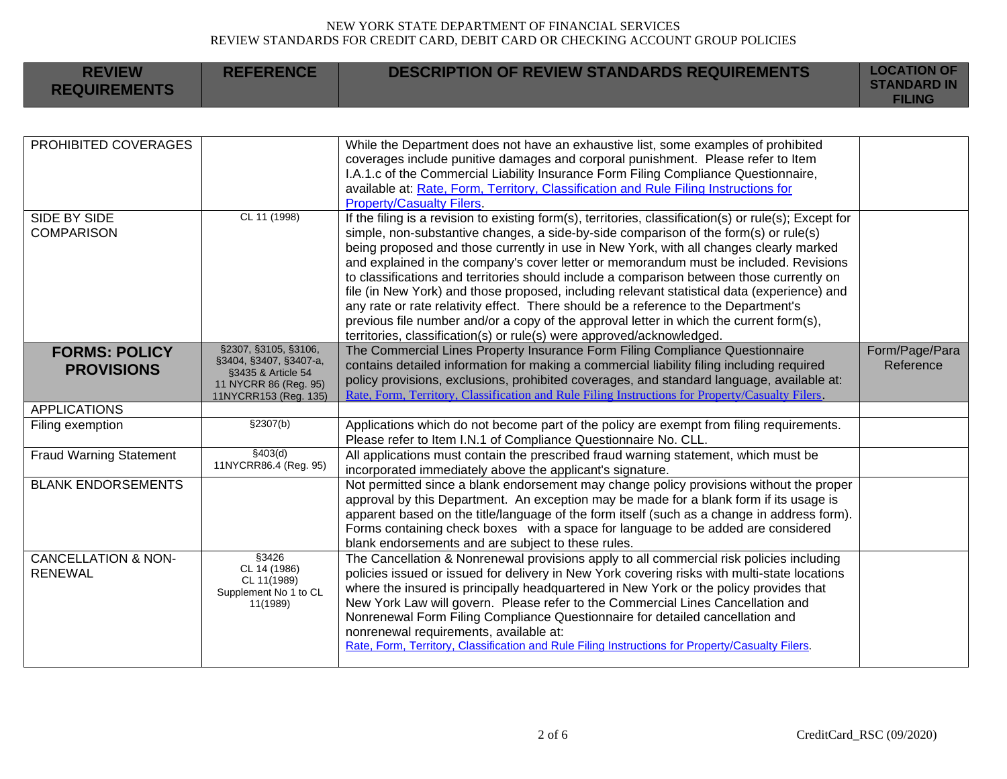| <b>REVIEW</b><br><b>REQUIREMENTS</b>             | <b>REFERENCE</b>                                                                                                       | <b>DESCRIPTION OF REVIEW STANDARDS REQUIREMENTS</b>                                                                                                                                                                                                                                                                                                                                                                                                                                                                                                                                                                                                                                                                                                                                                                                      | <b>LOCATION OF</b><br><b>STANDARD IN</b><br><b>FILING</b> |
|--------------------------------------------------|------------------------------------------------------------------------------------------------------------------------|------------------------------------------------------------------------------------------------------------------------------------------------------------------------------------------------------------------------------------------------------------------------------------------------------------------------------------------------------------------------------------------------------------------------------------------------------------------------------------------------------------------------------------------------------------------------------------------------------------------------------------------------------------------------------------------------------------------------------------------------------------------------------------------------------------------------------------------|-----------------------------------------------------------|
|                                                  |                                                                                                                        |                                                                                                                                                                                                                                                                                                                                                                                                                                                                                                                                                                                                                                                                                                                                                                                                                                          |                                                           |
| PROHIBITED COVERAGES                             |                                                                                                                        | While the Department does not have an exhaustive list, some examples of prohibited<br>coverages include punitive damages and corporal punishment. Please refer to Item<br>I.A.1.c of the Commercial Liability Insurance Form Filing Compliance Questionnaire,<br>available at: Rate, Form, Territory, Classification and Rule Filing Instructions for<br><b>Property/Casualty Filers.</b>                                                                                                                                                                                                                                                                                                                                                                                                                                                |                                                           |
| <b>SIDE BY SIDE</b><br><b>COMPARISON</b>         | CL 11 (1998)                                                                                                           | If the filing is a revision to existing form(s), territories, classification(s) or rule(s); Except for<br>simple, non-substantive changes, a side-by-side comparison of the form(s) or rule(s)<br>being proposed and those currently in use in New York, with all changes clearly marked<br>and explained in the company's cover letter or memorandum must be included. Revisions<br>to classifications and territories should include a comparison between those currently on<br>file (in New York) and those proposed, including relevant statistical data (experience) and<br>any rate or rate relativity effect. There should be a reference to the Department's<br>previous file number and/or a copy of the approval letter in which the current form(s),<br>territories, classification(s) or rule(s) were approved/acknowledged. |                                                           |
| <b>FORMS: POLICY</b><br><b>PROVISIONS</b>        | §2307, §3105, §3106,<br>§3404, §3407, §3407-a,<br>§3435 & Article 54<br>11 NYCRR 86 (Reg. 95)<br>11NYCRR153 (Reg. 135) | The Commercial Lines Property Insurance Form Filing Compliance Questionnaire<br>contains detailed information for making a commercial liability filing including required<br>policy provisions, exclusions, prohibited coverages, and standard language, available at:<br>Rate, Form, Territory, Classification and Rule Filing Instructions for Property/Casualty Filers.                                                                                                                                                                                                                                                                                                                                                                                                                                                               | Form/Page/Para<br>Reference                               |
| <b>APPLICATIONS</b>                              |                                                                                                                        |                                                                                                                                                                                                                                                                                                                                                                                                                                                                                                                                                                                                                                                                                                                                                                                                                                          |                                                           |
| Filing exemption                                 | \$2307(b)                                                                                                              | Applications which do not become part of the policy are exempt from filing requirements.<br>Please refer to Item I.N.1 of Compliance Questionnaire No. CLL.                                                                                                                                                                                                                                                                                                                                                                                                                                                                                                                                                                                                                                                                              |                                                           |
| <b>Fraud Warning Statement</b>                   | \$403(d)<br>11NYCRR86.4 (Reg. 95)                                                                                      | All applications must contain the prescribed fraud warning statement, which must be<br>incorporated immediately above the applicant's signature.                                                                                                                                                                                                                                                                                                                                                                                                                                                                                                                                                                                                                                                                                         |                                                           |
| <b>BLANK ENDORSEMENTS</b>                        |                                                                                                                        | Not permitted since a blank endorsement may change policy provisions without the proper<br>approval by this Department. An exception may be made for a blank form if its usage is<br>apparent based on the title/language of the form itself (such as a change in address form).<br>Forms containing check boxes with a space for language to be added are considered<br>blank endorsements and are subject to these rules.                                                                                                                                                                                                                                                                                                                                                                                                              |                                                           |
| <b>CANCELLATION &amp; NON-</b><br><b>RENEWAL</b> | §3426<br>CL 14 (1986)<br>CL 11(1989)<br>Supplement No 1 to CL<br>11(1989)                                              | The Cancellation & Nonrenewal provisions apply to all commercial risk policies including<br>policies issued or issued for delivery in New York covering risks with multi-state locations<br>where the insured is principally headquartered in New York or the policy provides that<br>New York Law will govern. Please refer to the Commercial Lines Cancellation and<br>Nonrenewal Form Filing Compliance Questionnaire for detailed cancellation and<br>nonrenewal requirements, available at:<br>Rate, Form, Territory, Classification and Rule Filing Instructions for Property/Casualty Filers.                                                                                                                                                                                                                                     |                                                           |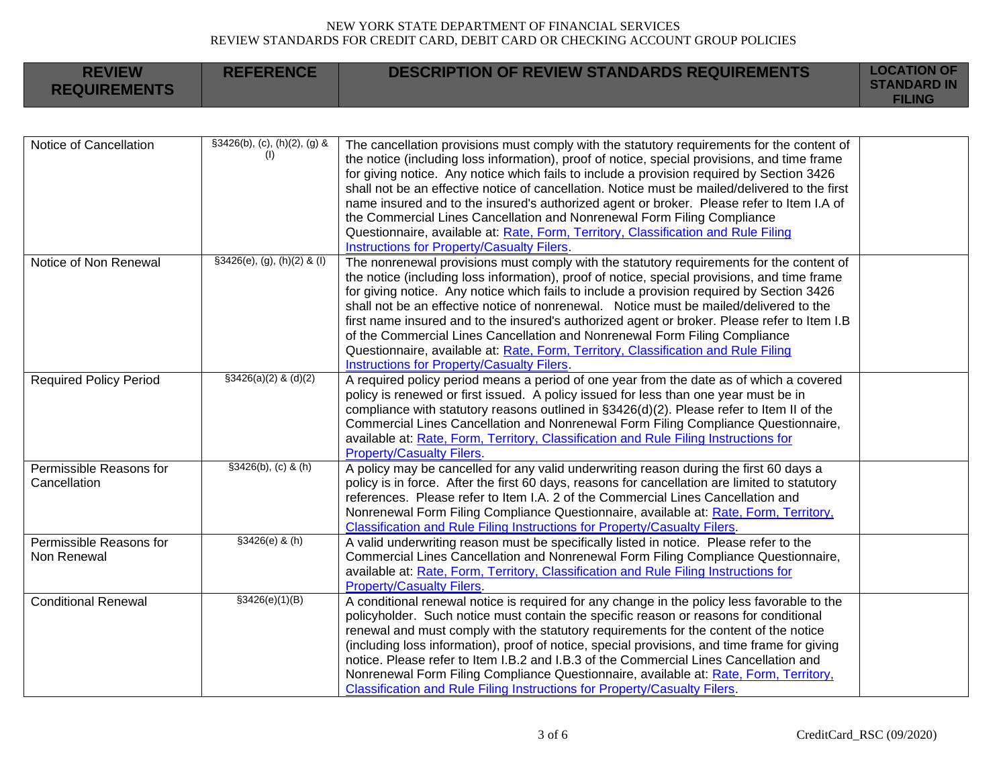| <b>REVIEW</b><br><b>REQUIREMENTS</b>    | <b>REFERENCE</b>                    | <b>DESCRIPTION OF REVIEW STANDARDS REQUIREMENTS</b>                                                                                                                                                                                                                                                                                                                                                                                                                                                                                                                                                                                                                                                          | <b>LOCATION OF</b><br><b>STANDARD IN</b><br><b>FILING</b> |
|-----------------------------------------|-------------------------------------|--------------------------------------------------------------------------------------------------------------------------------------------------------------------------------------------------------------------------------------------------------------------------------------------------------------------------------------------------------------------------------------------------------------------------------------------------------------------------------------------------------------------------------------------------------------------------------------------------------------------------------------------------------------------------------------------------------------|-----------------------------------------------------------|
|                                         |                                     |                                                                                                                                                                                                                                                                                                                                                                                                                                                                                                                                                                                                                                                                                                              |                                                           |
| Notice of Cancellation                  | §3426(b), (c), (h)(2), (g) &<br>(1) | The cancellation provisions must comply with the statutory requirements for the content of<br>the notice (including loss information), proof of notice, special provisions, and time frame<br>for giving notice. Any notice which fails to include a provision required by Section 3426<br>shall not be an effective notice of cancellation. Notice must be mailed/delivered to the first<br>name insured and to the insured's authorized agent or broker. Please refer to Item I.A of<br>the Commercial Lines Cancellation and Nonrenewal Form Filing Compliance<br>Questionnaire, available at: Rate, Form, Territory, Classification and Rule Filing<br><b>Instructions for Property/Casualty Filers.</b> |                                                           |
| Notice of Non Renewal                   | $$3426(e), (g), (h)(2)$ & (I)       | The nonrenewal provisions must comply with the statutory requirements for the content of<br>the notice (including loss information), proof of notice, special provisions, and time frame<br>for giving notice. Any notice which fails to include a provision required by Section 3426<br>shall not be an effective notice of nonrenewal. Notice must be mailed/delivered to the<br>first name insured and to the insured's authorized agent or broker. Please refer to Item I.B<br>of the Commercial Lines Cancellation and Nonrenewal Form Filing Compliance<br>Questionnaire, available at: Rate, Form, Territory, Classification and Rule Filing<br>Instructions for Property/Casualty Filers.            |                                                           |
| <b>Required Policy Period</b>           | $$3426(a)(2)$ & (d)(2)              | A required policy period means a period of one year from the date as of which a covered<br>policy is renewed or first issued. A policy issued for less than one year must be in<br>compliance with statutory reasons outlined in §3426(d)(2). Please refer to Item II of the<br>Commercial Lines Cancellation and Nonrenewal Form Filing Compliance Questionnaire,<br>available at: Rate, Form, Territory, Classification and Rule Filing Instructions for<br><b>Property/Casualty Filers.</b>                                                                                                                                                                                                               |                                                           |
| Permissible Reasons for<br>Cancellation | $$3426(b), (c)$ & (h)               | A policy may be cancelled for any valid underwriting reason during the first 60 days a<br>policy is in force. After the first 60 days, reasons for cancellation are limited to statutory<br>references. Please refer to Item I.A. 2 of the Commercial Lines Cancellation and<br>Nonrenewal Form Filing Compliance Questionnaire, available at: Rate, Form, Territory,<br><b>Classification and Rule Filing Instructions for Property/Casualty Filers.</b>                                                                                                                                                                                                                                                    |                                                           |
| Permissible Reasons for<br>Non Renewal  | $$3426(e)$ & (h)                    | A valid underwriting reason must be specifically listed in notice. Please refer to the<br>Commercial Lines Cancellation and Nonrenewal Form Filing Compliance Questionnaire,<br>available at: Rate, Form, Territory, Classification and Rule Filing Instructions for<br><b>Property/Casualty Filers.</b>                                                                                                                                                                                                                                                                                                                                                                                                     |                                                           |
| <b>Conditional Renewal</b>              | \$3426(e)(1)(B)                     | A conditional renewal notice is required for any change in the policy less favorable to the<br>policyholder. Such notice must contain the specific reason or reasons for conditional<br>renewal and must comply with the statutory requirements for the content of the notice<br>(including loss information), proof of notice, special provisions, and time frame for giving<br>notice. Please refer to Item I.B.2 and I.B.3 of the Commercial Lines Cancellation and<br>Nonrenewal Form Filing Compliance Questionnaire, available at: Rate, Form, Territory,<br>Classification and Rule Filing Instructions for Property/Casualty Filers.                                                                 |                                                           |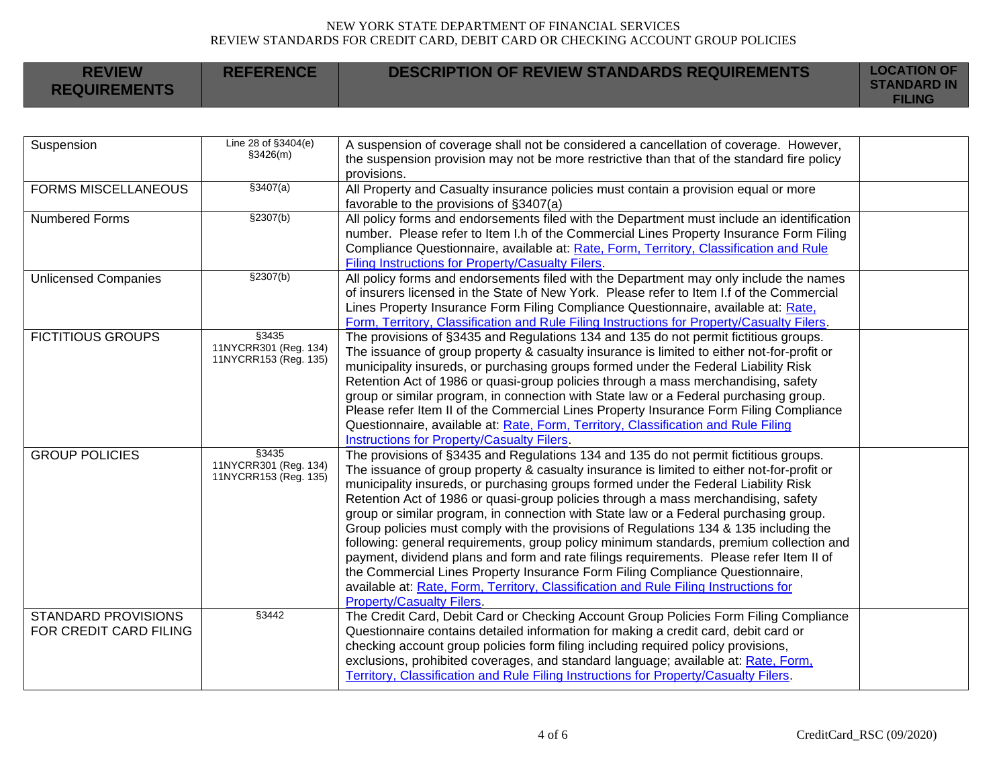| <b>REVIEW</b><br><b>REQUIREMENTS</b>                 | <b>REFERENCE</b>                                        | <b>DESCRIPTION OF REVIEW STANDARDS REQUIREMENTS</b>                                                                                                                                                                                                                                                                                                                                                                                                                                                                                                                                                                                                                                                                                                                                                                                                                                                                                                  | <b>LOCATION OF</b><br><b>STANDARD IN</b><br><b>FILING</b> |
|------------------------------------------------------|---------------------------------------------------------|------------------------------------------------------------------------------------------------------------------------------------------------------------------------------------------------------------------------------------------------------------------------------------------------------------------------------------------------------------------------------------------------------------------------------------------------------------------------------------------------------------------------------------------------------------------------------------------------------------------------------------------------------------------------------------------------------------------------------------------------------------------------------------------------------------------------------------------------------------------------------------------------------------------------------------------------------|-----------------------------------------------------------|
|                                                      |                                                         |                                                                                                                                                                                                                                                                                                                                                                                                                                                                                                                                                                                                                                                                                                                                                                                                                                                                                                                                                      |                                                           |
| Suspension                                           | Line 28 of §3404(e)<br>\$3426(m)                        | A suspension of coverage shall not be considered a cancellation of coverage. However,<br>the suspension provision may not be more restrictive than that of the standard fire policy<br>provisions.                                                                                                                                                                                                                                                                                                                                                                                                                                                                                                                                                                                                                                                                                                                                                   |                                                           |
| <b>FORMS MISCELLANEOUS</b>                           | \$3407(a)                                               | All Property and Casualty insurance policies must contain a provision equal or more<br>favorable to the provisions of §3407(a)                                                                                                                                                                                                                                                                                                                                                                                                                                                                                                                                                                                                                                                                                                                                                                                                                       |                                                           |
| <b>Numbered Forms</b>                                | \$2307(b)                                               | All policy forms and endorsements filed with the Department must include an identification<br>number. Please refer to Item I.h of the Commercial Lines Property Insurance Form Filing<br>Compliance Questionnaire, available at: Rate, Form, Territory, Classification and Rule<br>Filing Instructions for Property/Casualty Filers.                                                                                                                                                                                                                                                                                                                                                                                                                                                                                                                                                                                                                 |                                                           |
| <b>Unlicensed Companies</b>                          | \$2307(b)                                               | All policy forms and endorsements filed with the Department may only include the names<br>of insurers licensed in the State of New York. Please refer to Item I f of the Commercial<br>Lines Property Insurance Form Filing Compliance Questionnaire, available at: Rate,<br>Form, Territory, Classification and Rule Filing Instructions for Property/Casualty Filers.                                                                                                                                                                                                                                                                                                                                                                                                                                                                                                                                                                              |                                                           |
| <b>FICTITIOUS GROUPS</b>                             | §3435<br>11NYCRR301 (Reg. 134)<br>11NYCRR153 (Reg. 135) | The provisions of §3435 and Regulations 134 and 135 do not permit fictitious groups.<br>The issuance of group property & casualty insurance is limited to either not-for-profit or<br>municipality insureds, or purchasing groups formed under the Federal Liability Risk<br>Retention Act of 1986 or quasi-group policies through a mass merchandising, safety<br>group or similar program, in connection with State law or a Federal purchasing group.<br>Please refer Item II of the Commercial Lines Property Insurance Form Filing Compliance<br>Questionnaire, available at: Rate, Form, Territory, Classification and Rule Filing<br><b>Instructions for Property/Casualty Filers.</b>                                                                                                                                                                                                                                                        |                                                           |
| <b>GROUP POLICIES</b>                                | §3435<br>11NYCRR301 (Reg. 134)<br>11NYCRR153 (Reg. 135) | The provisions of §3435 and Regulations 134 and 135 do not permit fictitious groups.<br>The issuance of group property & casualty insurance is limited to either not-for-profit or<br>municipality insureds, or purchasing groups formed under the Federal Liability Risk<br>Retention Act of 1986 or quasi-group policies through a mass merchandising, safety<br>group or similar program, in connection with State law or a Federal purchasing group.<br>Group policies must comply with the provisions of Regulations 134 & 135 including the<br>following: general requirements, group policy minimum standards, premium collection and<br>payment, dividend plans and form and rate filings requirements. Please refer Item II of<br>the Commercial Lines Property Insurance Form Filing Compliance Questionnaire,<br>available at: Rate, Form, Territory, Classification and Rule Filing Instructions for<br><b>Property/Casualty Filers.</b> |                                                           |
| <b>STANDARD PROVISIONS</b><br>FOR CREDIT CARD FILING | §3442                                                   | The Credit Card, Debit Card or Checking Account Group Policies Form Filing Compliance<br>Questionnaire contains detailed information for making a credit card, debit card or<br>checking account group policies form filing including required policy provisions,<br>exclusions, prohibited coverages, and standard language; available at: Rate, Form,<br>Territory, Classification and Rule Filing Instructions for Property/Casualty Filers.                                                                                                                                                                                                                                                                                                                                                                                                                                                                                                      |                                                           |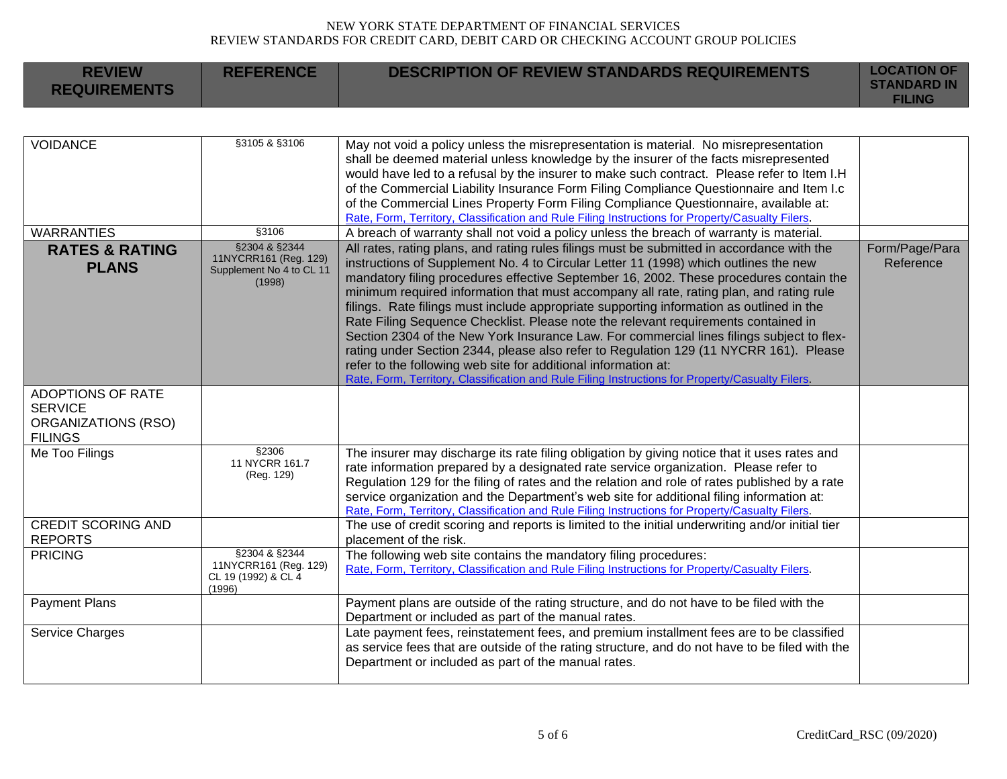| <b>REVIEW</b><br><b>REQUIREMENTS</b>                           | <b>REFERENCE</b>                                                             | <b>DESCRIPTION OF REVIEW STANDARDS REQUIREMENTS</b>                                                                                                                                                                                                                                                                                                                                                                                                                                                                                                                                                                                                                                                                                                                                                                                                                                                                   | <b>LOCATION OF</b><br><b>STANDARD IN</b><br><b>FILING</b> |
|----------------------------------------------------------------|------------------------------------------------------------------------------|-----------------------------------------------------------------------------------------------------------------------------------------------------------------------------------------------------------------------------------------------------------------------------------------------------------------------------------------------------------------------------------------------------------------------------------------------------------------------------------------------------------------------------------------------------------------------------------------------------------------------------------------------------------------------------------------------------------------------------------------------------------------------------------------------------------------------------------------------------------------------------------------------------------------------|-----------------------------------------------------------|
|                                                                |                                                                              |                                                                                                                                                                                                                                                                                                                                                                                                                                                                                                                                                                                                                                                                                                                                                                                                                                                                                                                       |                                                           |
| <b>VOIDANCE</b>                                                | §3105 & §3106                                                                | May not void a policy unless the misrepresentation is material. No misrepresentation<br>shall be deemed material unless knowledge by the insurer of the facts misrepresented<br>would have led to a refusal by the insurer to make such contract. Please refer to Item I.H<br>of the Commercial Liability Insurance Form Filing Compliance Questionnaire and Item I.c<br>of the Commercial Lines Property Form Filing Compliance Questionnaire, available at:<br>Rate, Form, Territory, Classification and Rule Filing Instructions for Property/Casualty Filers.                                                                                                                                                                                                                                                                                                                                                     |                                                           |
| <b>WARRANTIES</b>                                              | §3106                                                                        | A breach of warranty shall not void a policy unless the breach of warranty is material.                                                                                                                                                                                                                                                                                                                                                                                                                                                                                                                                                                                                                                                                                                                                                                                                                               |                                                           |
| <b>RATES &amp; RATING</b><br><b>PLANS</b>                      | §2304 & §2344<br>11NYCRR161 (Reg. 129)<br>Supplement No 4 to CL 11<br>(1998) | All rates, rating plans, and rating rules filings must be submitted in accordance with the<br>instructions of Supplement No. 4 to Circular Letter 11 (1998) which outlines the new<br>mandatory filing procedures effective September 16, 2002. These procedures contain the<br>minimum required information that must accompany all rate, rating plan, and rating rule<br>filings. Rate filings must include appropriate supporting information as outlined in the<br>Rate Filing Sequence Checklist. Please note the relevant requirements contained in<br>Section 2304 of the New York Insurance Law. For commercial lines filings subject to flex-<br>rating under Section 2344, please also refer to Regulation 129 (11 NYCRR 161). Please<br>refer to the following web site for additional information at:<br>Rate, Form, Territory, Classification and Rule Filing Instructions for Property/Casualty Filers. | Form/Page/Para<br>Reference                               |
| <b>ADOPTIONS OF RATE</b>                                       |                                                                              |                                                                                                                                                                                                                                                                                                                                                                                                                                                                                                                                                                                                                                                                                                                                                                                                                                                                                                                       |                                                           |
| <b>SERVICE</b><br><b>ORGANIZATIONS (RSO)</b><br><b>FILINGS</b> |                                                                              |                                                                                                                                                                                                                                                                                                                                                                                                                                                                                                                                                                                                                                                                                                                                                                                                                                                                                                                       |                                                           |
| Me Too Filings                                                 | §2306<br>11 NYCRR 161.7<br>(Reg. 129)                                        | The insurer may discharge its rate filing obligation by giving notice that it uses rates and<br>rate information prepared by a designated rate service organization. Please refer to<br>Regulation 129 for the filing of rates and the relation and role of rates published by a rate<br>service organization and the Department's web site for additional filing information at:<br>Rate, Form, Territory, Classification and Rule Filing Instructions for Property/Casualty Filers.                                                                                                                                                                                                                                                                                                                                                                                                                                 |                                                           |
| <b>CREDIT SCORING AND</b><br><b>REPORTS</b>                    |                                                                              | The use of credit scoring and reports is limited to the initial underwriting and/or initial tier<br>placement of the risk.                                                                                                                                                                                                                                                                                                                                                                                                                                                                                                                                                                                                                                                                                                                                                                                            |                                                           |
| <b>PRICING</b>                                                 | §2304 & §2344<br>11NYCRR161 (Reg. 129)<br>CL 19 (1992) & CL 4<br>(1996)      | The following web site contains the mandatory filing procedures:<br>Rate, Form, Territory, Classification and Rule Filing Instructions for Property/Casualty Filers.                                                                                                                                                                                                                                                                                                                                                                                                                                                                                                                                                                                                                                                                                                                                                  |                                                           |
| <b>Payment Plans</b>                                           |                                                                              | Payment plans are outside of the rating structure, and do not have to be filed with the<br>Department or included as part of the manual rates.                                                                                                                                                                                                                                                                                                                                                                                                                                                                                                                                                                                                                                                                                                                                                                        |                                                           |
| Service Charges                                                |                                                                              | Late payment fees, reinstatement fees, and premium installment fees are to be classified<br>as service fees that are outside of the rating structure, and do not have to be filed with the<br>Department or included as part of the manual rates.                                                                                                                                                                                                                                                                                                                                                                                                                                                                                                                                                                                                                                                                     |                                                           |